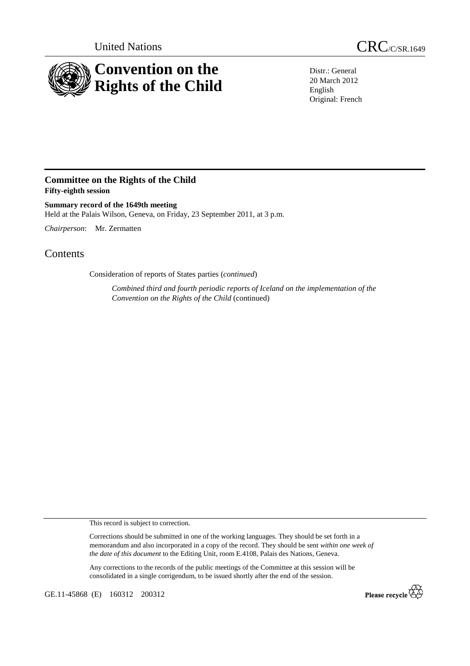

United Nations CRC/C/SR.1649

Distr.: General 20 March 2012 English Original: French

## **Committee on the Rights of the Child Fifty-eighth session**

**Summary record of the 1649th meeting**  Held at the Palais Wilson, Geneva, on Friday, 23 September 2011, at 3 p.m.

*Chairperson*: Mr. Zermatten

## Contents

Consideration of reports of States parties (*continued*)

*Combined third and fourth periodic reports of Iceland on the implementation of the Convention on the Rights of the Child* (continued)

This record is subject to correction.

Corrections should be submitted in one of the working languages. They should be set forth in a memorandum and also incorporated in a copy of the record. They should be sent *within one week of the date of this document* to the Editing Unit, room E.4108, Palais des Nations, Geneva.

Any corrections to the records of the public meetings of the Committee at this session will be consolidated in a single corrigendum, to be issued shortly after the end of the session.

GE.11-45868 (E) 160312 200312

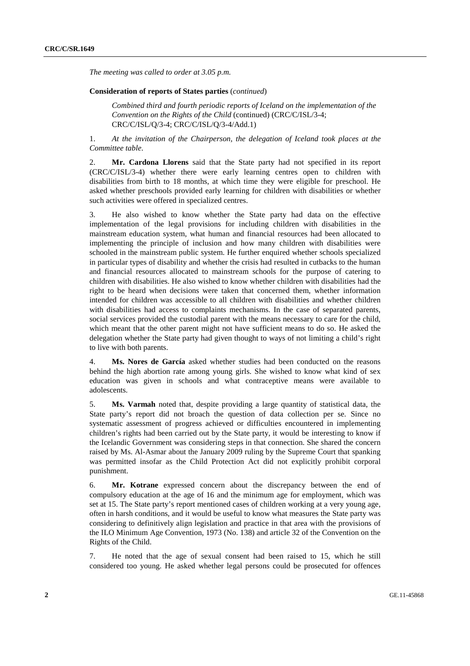*The meeting was called to order at 3.05 p.m.* 

## **Consideration of reports of States parties** (*continued*)

*Combined third and fourth periodic reports of Iceland on the implementation of the Convention on the Rights of the Child* (continued) (CRC/C/ISL/3-4; CRC/C/ISL/Q/3-4; CRC/C/ISL/Q/3-4/Add.1)

1. *At the invitation of the Chairperson, the delegation of Iceland took places at the Committee table*.

2. **Mr. Cardona Llorens** said that the State party had not specified in its report (CRC/C/ISL/3-4) whether there were early learning centres open to children with disabilities from birth to 18 months, at which time they were eligible for preschool. He asked whether preschools provided early learning for children with disabilities or whether such activities were offered in specialized centres.

3. He also wished to know whether the State party had data on the effective implementation of the legal provisions for including children with disabilities in the mainstream education system, what human and financial resources had been allocated to implementing the principle of inclusion and how many children with disabilities were schooled in the mainstream public system. He further enquired whether schools specialized in particular types of disability and whether the crisis had resulted in cutbacks to the human and financial resources allocated to mainstream schools for the purpose of catering to children with disabilities. He also wished to know whether children with disabilities had the right to be heard when decisions were taken that concerned them, whether information intended for children was accessible to all children with disabilities and whether children with disabilities had access to complaints mechanisms. In the case of separated parents, social services provided the custodial parent with the means necessary to care for the child, which meant that the other parent might not have sufficient means to do so. He asked the delegation whether the State party had given thought to ways of not limiting a child's right to live with both parents.

4. **Ms. Nores de García** asked whether studies had been conducted on the reasons behind the high abortion rate among young girls. She wished to know what kind of sex education was given in schools and what contraceptive means were available to adolescents.

5. **Ms. Varmah** noted that, despite providing a large quantity of statistical data, the State party's report did not broach the question of data collection per se. Since no systematic assessment of progress achieved or difficulties encountered in implementing children's rights had been carried out by the State party, it would be interesting to know if the Icelandic Government was considering steps in that connection. She shared the concern raised by Ms. Al-Asmar about the January 2009 ruling by the Supreme Court that spanking was permitted insofar as the Child Protection Act did not explicitly prohibit corporal punishment.

6. **Mr. Kotrane** expressed concern about the discrepancy between the end of compulsory education at the age of 16 and the minimum age for employment, which was set at 15. The State party's report mentioned cases of children working at a very young age, often in harsh conditions, and it would be useful to know what measures the State party was considering to definitively align legislation and practice in that area with the provisions of the ILO Minimum Age Convention, 1973 (No. 138) and article 32 of the Convention on the Rights of the Child.

7. He noted that the age of sexual consent had been raised to 15, which he still considered too young. He asked whether legal persons could be prosecuted for offences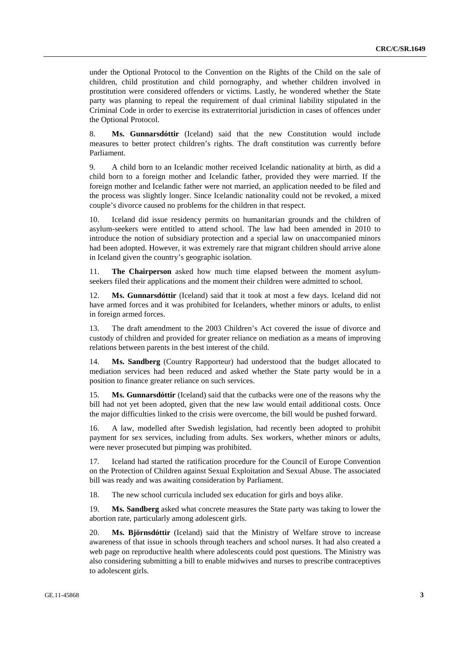under the Optional Protocol to the Convention on the Rights of the Child on the sale of children, child prostitution and child pornography, and whether children involved in prostitution were considered offenders or victims. Lastly, he wondered whether the State party was planning to repeal the requirement of dual criminal liability stipulated in the Criminal Code in order to exercise its extraterritorial jurisdiction in cases of offences under the Optional Protocol.

8. **Ms. Gunnarsdóttir** (Iceland) said that the new Constitution would include measures to better protect children's rights. The draft constitution was currently before Parliament.

9. A child born to an Icelandic mother received Icelandic nationality at birth, as did a child born to a foreign mother and Icelandic father, provided they were married. If the foreign mother and Icelandic father were not married, an application needed to be filed and the process was slightly longer. Since Icelandic nationality could not be revoked, a mixed couple's divorce caused no problems for the children in that respect.

10. Iceland did issue residency permits on humanitarian grounds and the children of asylum-seekers were entitled to attend school. The law had been amended in 2010 to introduce the notion of subsidiary protection and a special law on unaccompanied minors had been adopted. However, it was extremely rare that migrant children should arrive alone in Iceland given the country's geographic isolation.

11. **The Chairperson** asked how much time elapsed between the moment asylumseekers filed their applications and the moment their children were admitted to school.

12. **Ms. Gunnarsdóttir** (Iceland) said that it took at most a few days. Iceland did not have armed forces and it was prohibited for Icelanders, whether minors or adults, to enlist in foreign armed forces.

13. The draft amendment to the 2003 Children's Act covered the issue of divorce and custody of children and provided for greater reliance on mediation as a means of improving relations between parents in the best interest of the child.

14. **Ms. Sandberg** (Country Rapporteur) had understood that the budget allocated to mediation services had been reduced and asked whether the State party would be in a position to finance greater reliance on such services.

15. **Ms. Gunnarsdóttir** (Iceland) said that the cutbacks were one of the reasons why the bill had not yet been adopted, given that the new law would entail additional costs. Once the major difficulties linked to the crisis were overcome, the bill would be pushed forward.

16. A law, modelled after Swedish legislation, had recently been adopted to prohibit payment for sex services, including from adults. Sex workers, whether minors or adults, were never prosecuted but pimping was prohibited.

17. Iceland had started the ratification procedure for the Council of Europe Convention on the Protection of Children against Sexual Exploitation and Sexual Abuse. The associated bill was ready and was awaiting consideration by Parliament.

18. The new school curricula included sex education for girls and boys alike.

19. **Ms. Sandberg** asked what concrete measures the State party was taking to lower the abortion rate, particularly among adolescent girls.

20. **Ms. Björnsdóttir** (Iceland) said that the Ministry of Welfare strove to increase awareness of that issue in schools through teachers and school nurses. It had also created a web page on reproductive health where adolescents could post questions. The Ministry was also considering submitting a bill to enable midwives and nurses to prescribe contraceptives to adolescent girls.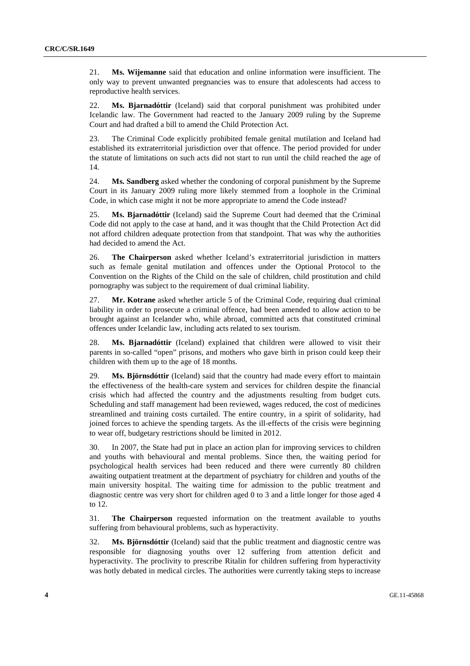21. **Ms. Wijemanne** said that education and online information were insufficient. The only way to prevent unwanted pregnancies was to ensure that adolescents had access to reproductive health services.

22. **Ms. Bjarnadóttir** (Iceland) said that corporal punishment was prohibited under Icelandic law. The Government had reacted to the January 2009 ruling by the Supreme Court and had drafted a bill to amend the Child Protection Act.

23. The Criminal Code explicitly prohibited female genital mutilation and Iceland had established its extraterritorial jurisdiction over that offence. The period provided for under the statute of limitations on such acts did not start to run until the child reached the age of 14.

24. **Ms. Sandberg** asked whether the condoning of corporal punishment by the Supreme Court in its January 2009 ruling more likely stemmed from a loophole in the Criminal Code, in which case might it not be more appropriate to amend the Code instead?

25. **Ms. Bjarnadóttir** (Iceland) said the Supreme Court had deemed that the Criminal Code did not apply to the case at hand, and it was thought that the Child Protection Act did not afford children adequate protection from that standpoint. That was why the authorities had decided to amend the Act.

26. **The Chairperson** asked whether Iceland's extraterritorial jurisdiction in matters such as female genital mutilation and offences under the Optional Protocol to the Convention on the Rights of the Child on the sale of children, child prostitution and child pornography was subject to the requirement of dual criminal liability.

27. **Mr. Kotrane** asked whether article 5 of the Criminal Code, requiring dual criminal liability in order to prosecute a criminal offence, had been amended to allow action to be brought against an Icelander who, while abroad, committed acts that constituted criminal offences under Icelandic law, including acts related to sex tourism.

28. **Ms. Bjarnadóttir** (Iceland) explained that children were allowed to visit their parents in so-called "open" prisons, and mothers who gave birth in prison could keep their children with them up to the age of 18 months.

29. **Ms. Björnsdóttir** (Iceland) said that the country had made every effort to maintain the effectiveness of the health-care system and services for children despite the financial crisis which had affected the country and the adjustments resulting from budget cuts. Scheduling and staff management had been reviewed, wages reduced, the cost of medicines streamlined and training costs curtailed. The entire country, in a spirit of solidarity, had joined forces to achieve the spending targets. As the ill-effects of the crisis were beginning to wear off, budgetary restrictions should be limited in 2012.

30. In 2007, the State had put in place an action plan for improving services to children and youths with behavioural and mental problems. Since then, the waiting period for psychological health services had been reduced and there were currently 80 children awaiting outpatient treatment at the department of psychiatry for children and youths of the main university hospital. The waiting time for admission to the public treatment and diagnostic centre was very short for children aged 0 to 3 and a little longer for those aged 4 to 12.

31. **The Chairperson** requested information on the treatment available to youths suffering from behavioural problems, such as hyperactivity.

32. **Ms. Björnsdóttir** (Iceland) said that the public treatment and diagnostic centre was responsible for diagnosing youths over 12 suffering from attention deficit and hyperactivity. The proclivity to prescribe Ritalin for children suffering from hyperactivity was hotly debated in medical circles. The authorities were currently taking steps to increase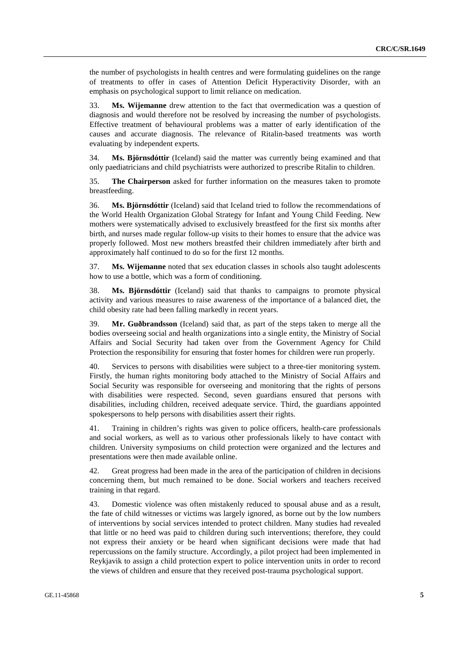the number of psychologists in health centres and were formulating guidelines on the range of treatments to offer in cases of Attention Deficit Hyperactivity Disorder, with an emphasis on psychological support to limit reliance on medication.

33. **Ms. Wijemanne** drew attention to the fact that overmedication was a question of diagnosis and would therefore not be resolved by increasing the number of psychologists. Effective treatment of behavioural problems was a matter of early identification of the causes and accurate diagnosis. The relevance of Ritalin-based treatments was worth evaluating by independent experts.

34. **Ms. Björnsdóttir** (Iceland) said the matter was currently being examined and that only paediatricians and child psychiatrists were authorized to prescribe Ritalin to children.

35. **The Chairperson** asked for further information on the measures taken to promote breastfeeding.

36. **Ms. Björnsdóttir** (Iceland) said that Iceland tried to follow the recommendations of the World Health Organization Global Strategy for Infant and Young Child Feeding. New mothers were systematically advised to exclusively breastfeed for the first six months after birth, and nurses made regular follow-up visits to their homes to ensure that the advice was properly followed. Most new mothers breastfed their children immediately after birth and approximately half continued to do so for the first 12 months.

37. **Ms. Wijemanne** noted that sex education classes in schools also taught adolescents how to use a bottle, which was a form of conditioning.

38. **Ms. Björnsdóttir** (Iceland) said that thanks to campaigns to promote physical activity and various measures to raise awareness of the importance of a balanced diet, the child obesity rate had been falling markedly in recent years.

39. **Mr. Guðbrandsson** (Iceland) said that, as part of the steps taken to merge all the bodies overseeing social and health organizations into a single entity, the Ministry of Social Affairs and Social Security had taken over from the Government Agency for Child Protection the responsibility for ensuring that foster homes for children were run properly.

40. Services to persons with disabilities were subject to a three-tier monitoring system. Firstly, the human rights monitoring body attached to the Ministry of Social Affairs and Social Security was responsible for overseeing and monitoring that the rights of persons with disabilities were respected. Second, seven guardians ensured that persons with disabilities, including children, received adequate service. Third, the guardians appointed spokespersons to help persons with disabilities assert their rights.

41. Training in children's rights was given to police officers, health-care professionals and social workers, as well as to various other professionals likely to have contact with children. University symposiums on child protection were organized and the lectures and presentations were then made available online.

42. Great progress had been made in the area of the participation of children in decisions concerning them, but much remained to be done. Social workers and teachers received training in that regard.

43. Domestic violence was often mistakenly reduced to spousal abuse and as a result, the fate of child witnesses or victims was largely ignored, as borne out by the low numbers of interventions by social services intended to protect children. Many studies had revealed that little or no heed was paid to children during such interventions; therefore, they could not express their anxiety or be heard when significant decisions were made that had repercussions on the family structure. Accordingly, a pilot project had been implemented in Reykjavik to assign a child protection expert to police intervention units in order to record the views of children and ensure that they received post-trauma psychological support.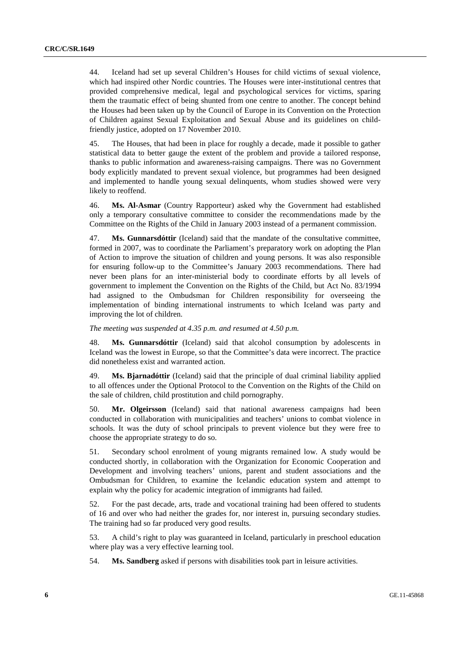44. Iceland had set up several Children's Houses for child victims of sexual violence, which had inspired other Nordic countries. The Houses were inter-institutional centres that provided comprehensive medical, legal and psychological services for victims, sparing them the traumatic effect of being shunted from one centre to another. The concept behind the Houses had been taken up by the Council of Europe in its Convention on the Protection of Children against Sexual Exploitation and Sexual Abuse and its guidelines on childfriendly justice, adopted on 17 November 2010.

45. The Houses, that had been in place for roughly a decade, made it possible to gather statistical data to better gauge the extent of the problem and provide a tailored response, thanks to public information and awareness-raising campaigns. There was no Government body explicitly mandated to prevent sexual violence, but programmes had been designed and implemented to handle young sexual delinquents, whom studies showed were very likely to reoffend.

46. **Ms. Al-Asmar** (Country Rapporteur) asked why the Government had established only a temporary consultative committee to consider the recommendations made by the Committee on the Rights of the Child in January 2003 instead of a permanent commission.

47. **Ms. Gunnarsdóttir** (Iceland) said that the mandate of the consultative committee, formed in 2007, was to coordinate the Parliament's preparatory work on adopting the Plan of Action to improve the situation of children and young persons. It was also responsible for ensuring follow-up to the Committee's January 2003 recommendations. There had never been plans for an inter-ministerial body to coordinate efforts by all levels of government to implement the Convention on the Rights of the Child, but Act No. 83/1994 had assigned to the Ombudsman for Children responsibility for overseeing the implementation of binding international instruments to which Iceland was party and improving the lot of children.

*The meeting was suspended at 4.35 p.m. and resumed at 4.50 p.m.* 

48. **Ms. Gunnarsdóttir** (Iceland) said that alcohol consumption by adolescents in Iceland was the lowest in Europe, so that the Committee's data were incorrect. The practice did nonetheless exist and warranted action.

49. **Ms. Bjarnadóttir** (Iceland) said that the principle of dual criminal liability applied to all offences under the Optional Protocol to the Convention on the Rights of the Child on the sale of children, child prostitution and child pornography.

50. **Mr. Olgeirsson** (Iceland) said that national awareness campaigns had been conducted in collaboration with municipalities and teachers' unions to combat violence in schools. It was the duty of school principals to prevent violence but they were free to choose the appropriate strategy to do so.

51. Secondary school enrolment of young migrants remained low. A study would be conducted shortly, in collaboration with the Organization for Economic Cooperation and Development and involving teachers' unions, parent and student associations and the Ombudsman for Children, to examine the Icelandic education system and attempt to explain why the policy for academic integration of immigrants had failed.

52. For the past decade, arts, trade and vocational training had been offered to students of 16 and over who had neither the grades for, nor interest in, pursuing secondary studies. The training had so far produced very good results.

53. A child's right to play was guaranteed in Iceland, particularly in preschool education where play was a very effective learning tool.

54. **Ms. Sandberg** asked if persons with disabilities took part in leisure activities.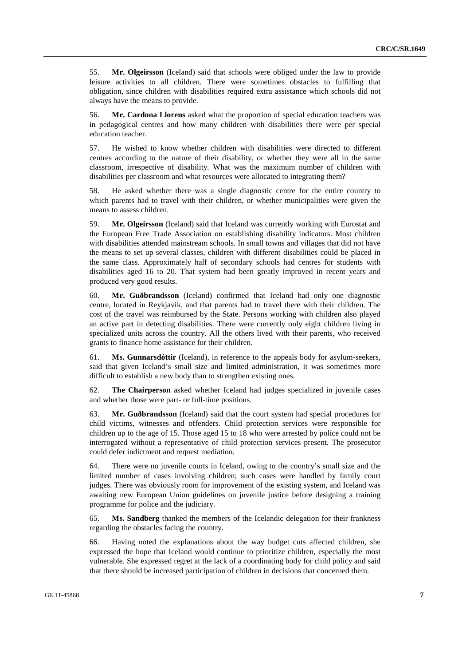55. **Mr. Olgeirsson** (Iceland) said that schools were obliged under the law to provide leisure activities to all children. There were sometimes obstacles to fulfilling that obligation, since children with disabilities required extra assistance which schools did not always have the means to provide.

56. **Mr. Cardona Llorens** asked what the proportion of special education teachers was in pedagogical centres and how many children with disabilities there were per special education teacher.

57. He wished to know whether children with disabilities were directed to different centres according to the nature of their disability, or whether they were all in the same classroom, irrespective of disability. What was the maximum number of children with disabilities per classroom and what resources were allocated to integrating them?

58. He asked whether there was a single diagnostic centre for the entire country to which parents had to travel with their children, or whether municipalities were given the means to assess children.

59. **Mr. Olgeirsson** (Iceland) said that Iceland was currently working with Eurostat and the European Free Trade Association on establishing disability indicators. Most children with disabilities attended mainstream schools. In small towns and villages that did not have the means to set up several classes, children with different disabilities could be placed in the same class. Approximately half of secondary schools had centres for students with disabilities aged 16 to 20. That system had been greatly improved in recent years and produced very good results.

60. **Mr. Guðbrandsson** (Iceland) confirmed that Iceland had only one diagnostic centre, located in Reykjavik, and that parents had to travel there with their children. The cost of the travel was reimbursed by the State. Persons working with children also played an active part in detecting disabilities. There were currently only eight children living in specialized units across the country. All the others lived with their parents, who received grants to finance home assistance for their children.

61. **Ms. Gunnarsdóttir** (Iceland), in reference to the appeals body for asylum-seekers, said that given Iceland's small size and limited administration, it was sometimes more difficult to establish a new body than to strengthen existing ones.

62. **The Chairperson** asked whether Iceland had judges specialized in juvenile cases and whether those were part- or full-time positions.

63. **Mr. Guðbrandsson** (Iceland) said that the court system had special procedures for child victims, witnesses and offenders. Child protection services were responsible for children up to the age of 15. Those aged 15 to 18 who were arrested by police could not be interrogated without a representative of child protection services present. The prosecutor could defer indictment and request mediation.

64. There were no juvenile courts in Iceland, owing to the country's small size and the limited number of cases involving children; such cases were handled by family court judges. There was obviously room for improvement of the existing system, and Iceland was awaiting new European Union guidelines on juvenile justice before designing a training programme for police and the judiciary.

65. **Ms. Sandberg** thanked the members of the Icelandic delegation for their frankness regarding the obstacles facing the country.

66. Having noted the explanations about the way budget cuts affected children, she expressed the hope that Iceland would continue to prioritize children, especially the most vulnerable. She expressed regret at the lack of a coordinating body for child policy and said that there should be increased participation of children in decisions that concerned them.